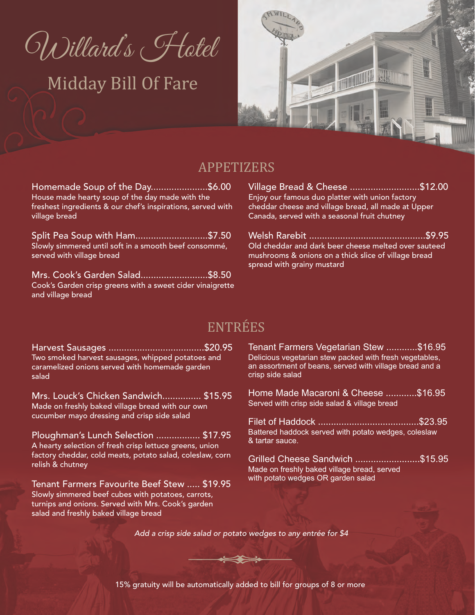Willard's Flotel

# Midday Bill Of Fare



#### APPETIZERS

**Homemade Soup of the Day......................\$6.00 House made hearty soup of the day made with the freshest ingredients & our chef's inspirations, served with village bread**

**Split Pea Soup with Ham............................\$7.50 Slowly simmered until soft in a smooth beef consommé, served with village bread**

**Mrs. Cook's Garden Salad..........................\$8.50 Cook's Garden crisp greens with a sweet cider vinaigrette and village bread**

**Village Bread & Cheese ...........................\$12.00 Enjoy our famous duo platter with union factory cheddar cheese and village bread, all made at Upper Canada, served with a seasonal fruit chutney**

**Welsh Rarebit .............................................\$9.95 Old cheddar and dark beer cheese melted over sauteed mushrooms & onions on a thick slice of village bread spread with grainy mustard**

## **ENTRÉES**

**Harvest Sausages .....................................\$20.95 Two smoked harvest sausages, whipped potatoes and caramelized onions served with homemade garden salad**

**Mrs. Louck's Chicken Sandwich............... \$15.95 Made on freshly baked village bread with our own cucumber mayo dressing and crisp side salad**

**Ploughman's Lunch Selection ................. \$17.95 A hearty selection of fresh crisp lettuce greens, union factory cheddar, cold meats, potato salad, coleslaw, corn relish & chutney**

**Tenant Farmers Favourite Beef Stew ..... \$19.95 Slowly simmered beef cubes with potatoes, carrots, turnips and onions. Served with Mrs. Cook's garden salad and freshly baked village bread**

**Tenant Farmers Vegetarian Stew ............\$16.95** Delicious vegetarian stew packed with fresh vegetables, an assortment of beans, served with village bread and a crisp side salad

Home Made Macaroni & Cheese ............\$16.95 Served with crisp side salad & village bread

Filet of Haddock **.......................................**\$23.95 Battered haddock served with potato wedges, coleslaw & tartar sauce.

Grilled Cheese Sandwich **.........................**\$15.95 Made on freshly baked village bread, served with potato wedges OR garden salad

*Add a crisp side salad or potato wedges to any entrée for \$4*

**15% gratuity will be automatically added to bill for groups of 8 or more**